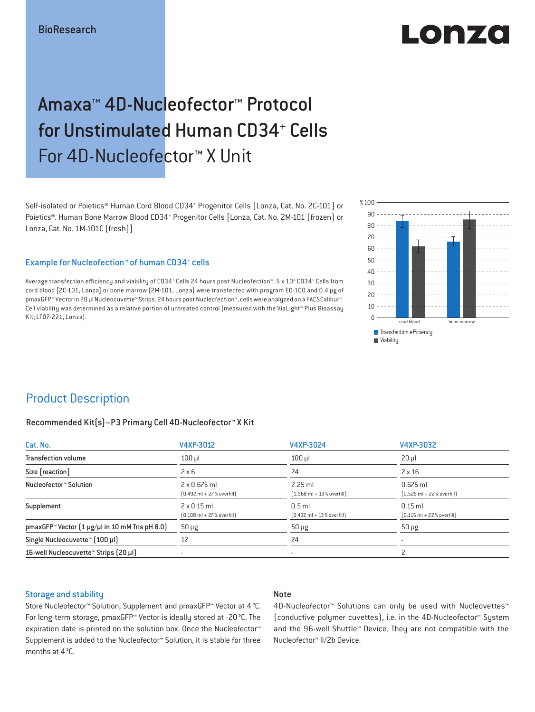# LO DE 20

## Amaxa™ 4D-Nucleofector™ Protocol for Unstimulated Human CD34+ Cells For 4D-Nucleofector™ X Unit

Self-isolated or Poietics® Human Cord Blood CD34<sup>+</sup> Progenitor Cells [Lonza, Cat. No. 2C-101] or Poietics®. Human Bone Marrow Blood CD34+ Progenitor Cells [Lonza, Cat. No. 2M-101 (frozen) or Lonza, Cat. No. 1M-101C (fresh)]

### Example for Nucleofection™ of human CD34<sup>+</sup> cells

Average transfection efficiency and viability of CD34\* Cells 24 hours post Nucleofection™. 5 x 10<sup>4</sup> CD34\* Cells from cord blood [2C-101, Lonza] or bone marrow (2M-101, Lonza) were transfected with program EO-100 and 0.4 μg of pmaxGFP™ Vector in 20 μl Nucleocuvette™ Strips. 24 hours post Nucleofection™, cells were analyzed on a FACSCalibur™. Cell viability was determined as a relative portion of untreated control (measured with the ViaLight™ Plus Bioassay Kit; LT07-221, Lonza).



### Product Description

### Recommended Kit(s)–P3 Primary Cell 4D-Nucleofector™ X Kit

| Cat. No.                                                           | V4XP-3012                                                           | V4XP-3024                                                | V4XP-3032                                                  |
|--------------------------------------------------------------------|---------------------------------------------------------------------|----------------------------------------------------------|------------------------------------------------------------|
| <b>Transfection volume</b>                                         | $100 \mu$                                                           | $100$ $\mu$                                              | $20 \mu$                                                   |
| Size [reaction]                                                    | $2 \times 6$                                                        | 24                                                       | $2 \times 16$                                              |
| Nucleofector™ Solution                                             | $2 \times 0.675$ ml<br>$[0.492 \text{ ml} + 27 \text{ % overfill}]$ | $2.25$ ml<br>$[1.968 \text{ ml} + 13 % \text{overfill}]$ | $0.675$ ml<br>$[0.525 \text{ ml} + 22 \text{ % overfill}]$ |
| Supplement                                                         | $2 \times 0.15$ ml<br>$[0.108 \text{ ml} + 27 \text{ %} overfill]$  | $0.5$ ml<br>$[0.432 \text{ ml} + 13 \text{ %} overfill]$ | $0.15$ ml<br>$[0.115 \text{ ml} + 22 \text{ % overfill}]$  |
| pmaxGFP <sup>*</sup> Vector $(1 \mu g/\mu l$ in 10 mM Tris pH 8.0) | $50 \mu g$                                                          | $50 \mu g$                                               | $50 \mu g$                                                 |
| Single Nucleocuvette™ [100 µl]                                     | 12                                                                  | 24                                                       |                                                            |
| 16-well Nucleocuvette <sup>™</sup> Strips [20 µl]                  |                                                                     | $\overline{\phantom{a}}$                                 |                                                            |

### Storage and stability

### Note

Store Nucleofector™ Solution, Supplement and pmaxGFP™ Vector at 4 °C. For long-term storage, pmaxGFP™ Vector is ideally stored at -20 °C. The expiration date is printed on the solution box. Once the Nucleofector™ Supplement is added to the Nucleofector™ Solution, it is stable for three months at 4 °C.

4D-Nucleofector™ Solutions can only be used with Nucleovettes™ (conductive polymer cuvettes), i.e. in the 4D-Nucleofector™ System and the 96-well Shuttle™ Device. They are not compatible with the Nucleofector™ II/2b Device.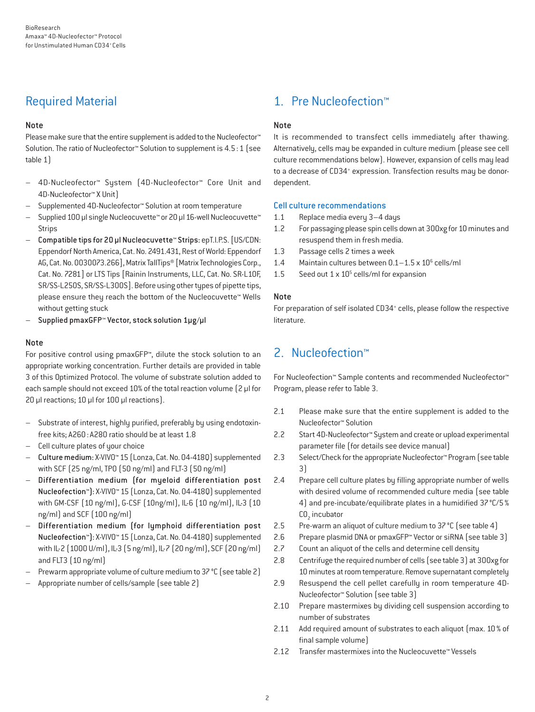### Required Material

### Note

Please make sure that the entire supplement is added to the Nucleofector<sup>™</sup> Solution. The ratio of Nucleofector™ Solution to supplement is 4.5:1 (see table 1)

- 4D-Nucleofector™ System (4D-Nucleofector™ Core Unit and 4D-Nucleofector™ X Unit)
- Supplemented 4D-Nucleofector™ Solution at room temperature
- Supplied 100 µl single Nucleocuvette™ or 20 µl 16-well Nucleocuvette™ Strips
- Compatible tips for 20 µl Nucleocuvette™ Strips: epT.I.P.S. [US/CDN: Eppendorf North America, Cat. No. 2491.431, Rest of World: Eppendorf AG, Cat. No. 0030073.266], Matrix TallTips® [Matrix Technologies Corp., Cat. No. 7281] or LTS Tips [Rainin Instruments, LLC, Cat. No. SR-L10F, SR/SS-L250S, SR/SS-L300S]. Before using other types of pipette tips, please ensure they reach the bottom of the Nucleocuvette™ Wells without getting stuck
- Supplied pmaxGFP™ Vector, stock solution 1µg/µl

### Note

For positive control using pmaxGFP™, dilute the stock solution to an appropriate working concentration. Further details are provided in table 3 of this Optimized Protocol. The volume of substrate solution added to each sample should not exceed 10% of the total reaction volume [2 µl for 20 µl reactions; 10 µl for 100 µl reactions).

- Substrate of interest, highly purified, preferably by using endotoxinfree kits; A260: A280 ratio should be at least 1.8
- Cell culture plates of your choice
- Culture medium: X-VIVO™ 15 (Lonza, Cat. No. 04-418Q) supplemented with SCF (25 ng/ml, TPO (50 ng/ml) and FLT-3 (50 ng/ml)
- Differentiation medium (for myeloid differentiation post Nucleofection™): X-VIVO™ 15 (Lonza, Cat. No. 04-418Q) supplemented with GM-CSF (10 ng/ml), G-CSF (10ng/ml), IL-6 (10 ng/ml), IL-3 (10 ng/ml) and SCF (100 ng/ml)
- Differentiation medium (for lymphoid differentiation post Nucleofection™): X-VIVO™ 15 (Lonza, Cat. No. 04-418Q) supplemented with IL-2 (1000 U/ml), IL-3 (5 ng/ml), IL-7 (20 ng/ml), SCF (20 ng/ml) and FLT3 (10 ng/ml)
- Prewarm appropriate volume of culture medium to 37 °C (see table 2)
- Appropriate number of cells/sample (see table 2)

### 1. Pre Nucleofection™

### Note

It is recommended to transfect cells immediately after thawing. Alternatively, cells may be expanded in culture medium (please see cell culture recommendations below). However, expansion of cells may lead to a decrease of CD34<sup>+</sup> expression. Transfection results may be donordependent.

### Cell culture recommendations

- 1.1 Replace media every 3–4 days
- 1.2 For passaging please spin cells down at 300xg for 10 minutes and resuspend them in fresh media.
- 1.3 Passage cells 2 times a week
- 1.4 Maintain cultures between  $0.1-1.5 \times 10^6$  cells/ml
- 1.5 Seed out  $1 \times 10^5$  cells/ml for expansion

### Note

For preparation of self isolated CD34<sup>+</sup> cells, please follow the respective literature.

### 2. Nucleofection™

For Nucleofection™ Sample contents and recommended Nucleofector™ Program, please refer to Table 3.

- 2.1 Please make sure that the entire supplement is added to the Nucleofector™ Solution
- 2.2 Start 4D-Nucleofector™ System and create or upload experimental parameter file (for details see device manual)
- 2.3 Select/Check for the appropriate Nucleofector™ Program (see table 3)
- 2.4 Prepare cell culture plates by filling appropriate number of wells with desired volume of recommended culture media (see table 4) and pre-incubate/equilibrate plates in a humidified 37°C/5%  $CO<sub>2</sub>$  incubator
- 2.5 Pre-warm an aliquot of culture medium to 37 °C (see table 4)
- 2.6 Prepare plasmid DNA or pmaxGFP™ Vector or siRNA (see table 3)
- 2.7 Count an aliquot of the cells and determine cell density
- 2.8 Centrifuge the required number of cells (see table 3) at 300xg for 10 minutes at room temperature. Remove supernatant completely
- 2.9 Resuspend the cell pellet carefully in room temperature 4D-Nucleofector™ Solution (see table 3)
- 2.10 Prepare mastermixes by dividing cell suspension according to number of substrates
- 2.11 Add required amount of substrates to each aliquot (max. 10 % of final sample volume)
- 2.12 Transfer mastermixes into the Nucleocuvette™ Vessels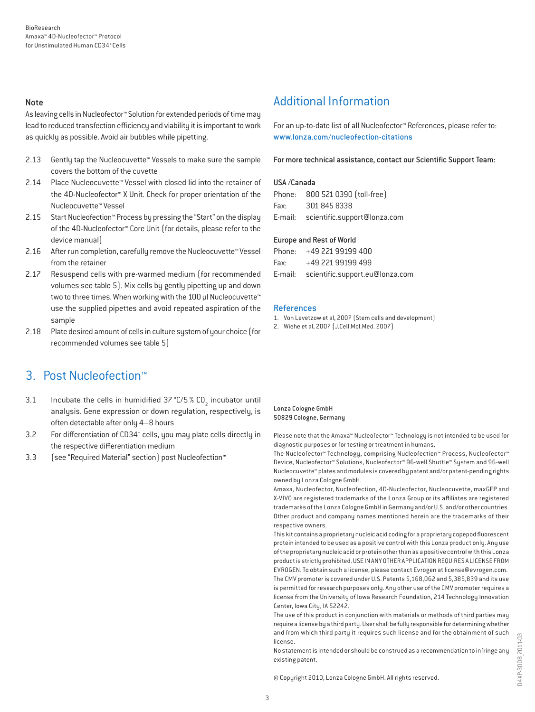#### Note

As leaving cells in Nucleofector™ Solution for extended periods of time may lead to reduced transfection efficiency and viability it is important to work as quickly as possible. Avoid air bubbles while pipetting.

- 2.13 Gently tap the Nucleocuvette™ Vessels to make sure the sample covers the bottom of the cuvette
- 2.14 Place Nucleocuvette™ Vessel with closed lid into the retainer of the 4D-Nucleofector™ X Unit. Check for proper orientation of the Nucleocuvette™ Vessel
- 2.15 Start Nucleofection™ Process by pressing the "Start" on the display of the 4D-Nucleofector™ Core Unit (for details, please refer to the device manual)
- 2.16 After run completion, carefully remove the Nucleocuvette™ Vessel from the retainer
- 2.17 Resuspend cells with pre-warmed medium (for recommended volumes see table 5). Mix cells by gently pipetting up and down two to three times. When working with the 100 µl Nucleocuvette™ use the supplied pipettes and avoid repeated aspiration of the sample
- 2.18 Plate desired amount of cells in culture system of your choice (for recommended volumes see table 5)

### 3. Post Nucleofection™

- 3.1 Incubate the cells in humidified  $37^{\circ}$ C/5 % CO<sub>2</sub> incubator until analysis. Gene expression or down regulation, respectively, is often detectable after only 4–8 hours
- 3.2 For differentiation of CD34<sup>+</sup> cells, you may plate cells directly in the respective differentiation medium
- 3.3 (see "Required Material" section) post Nucleofection™

### Additional Information

For an up-to-date list of all Nucleofector™ References, please refer to: www.lonza.com/nucleofection-citations

For more technical assistance, contact our Scientific Support Team:

#### USA /Canada

|      | Phone: 800 521 0390 (toll-free)      |
|------|--------------------------------------|
| Fax: | 301 845 8338                         |
|      | E-mail: scientific.support@lonza.com |

#### Europe and Rest of World

|          | Phone: +49 221 99199 400                |
|----------|-----------------------------------------|
| Fax: Fax | +49 221 99199 499                       |
|          | E-mail: scientific.support.eu@lonza.com |

#### References

- 1. Von Levetzow et al, 2007 (Stem cells and development)
- 2. Wiehe et al, 2007 (J.Cell.Mol.Med. 2007)

#### Lonza Cologne GmbH 50829 Cologne, Germany

Please note that the Amaxa™ Nucleofector™ Technology is not intended to be used for diagnostic purposes or for testing or treatment in humans.

The Nucleofector™ Technology, comprising Nucleofection™ Process, Nucleofector™ Device, Nucleofector™ Solutions, Nucleofector™ 96-well Shuttle™ System and 96-well Nucleocuvette™ plates and modules is covered by patent and/or patent-pending rights owned by Lonza Cologne GmbH.

Amaxa, Nucleofector, Nucleofection, 4D-Nucleofector, Nucleocuvette, maxGFP and X-VIVO are registered trademarks of the Lonza Group or its affiliates are registered trademarks of the Lonza Cologne GmbH in Germany and/or U.S. and/or other countries. Other product and company names mentioned herein are the trademarks of their respective owners.

This kit contains a proprietary nucleic acid coding for a proprietary copepod fluorescent protein intended to be used as a positive control with this Lonza product only. Any use of the proprietary nucleic acid or protein other than as a positive control with this Lonza product is strictly prohibited. USE IN ANY OTHER APPLICATION REQUIRES A LICENSE FROM EVROGEN. To obtain such a license, please contact Evrogen at license@evrogen.com. The CMV promoter is covered under U.S. Patents 5,168,062 and 5,385,839 and its use is permitted for research purposes only. Any other use of the CMV promoter requires a license from the University of Iowa Research Foundation, 214 Technology Innovation Center, Iowa City, IA 52242.

The use of this product in conjunction with materials or methods of third parties may require a license by a third party. User shall be fully responsible for determining whether and from which third party it requires such license and for the obtainment of such license.

No statement is intended or should be construed as a recommendation to infringe any existing patent.

© Copyright 2010, Lonza Cologne GmbH. All rights reserved.